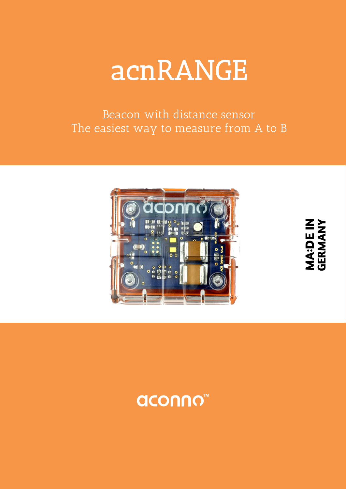

Beacon with distance sensor The easiest way to measure from A to B



**MA:DE IN<br>GERMANY**